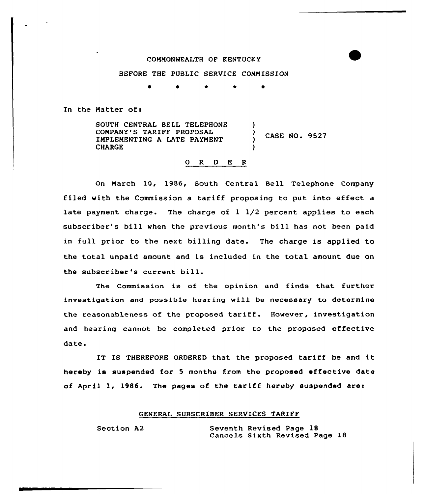## COMMONWEALTH OF KENTUCKY

BEFORE THE PUBLIC SERVICE COMMISSION

\* \*

In the Matter of:

SOUTH CENTRAL BELL TELEPHONE COMPANY'S TARIFF PROPOSAL IMPLEMENTING A LATE PAYMENT **CHARGE** )  $\int_{1}^{3}$  CASE NO. 9527 )

## 0 <sup>R</sup> <sup>D</sup> E <sup>R</sup>

On March 10, 1986, South Central Bell Telephone Company filed with the Commission a tariff proposing to put into effect a late payment charge. The charge of  $1 \frac{1}{2}$  percent applies to each subscriber's bill when the previous month's bill has not been paid in full prior to the next billing date. The charge is applied to the total unpaid amount and is included in the total amount due on the subscriber's current bill.

The Commission is of the opinion and finds that further investigation and possible hearing will be necessary to determine the reasonableness of the proposed tariff. However, investigation and hearing cannot be completed prior to the proposed effective date.

IT IS THEREFORE ORDERED that the proposed tariff be and it hereby is suspended for 5 months from the proposed effective date of April 1, 1986. The pages of the tariff hereby suspended ares

#### GENERAL SUBSCRIBER SERVICES TARIFF

Section A2 Seventh Revised Page 18 Cancels Sixth Revised Page 18